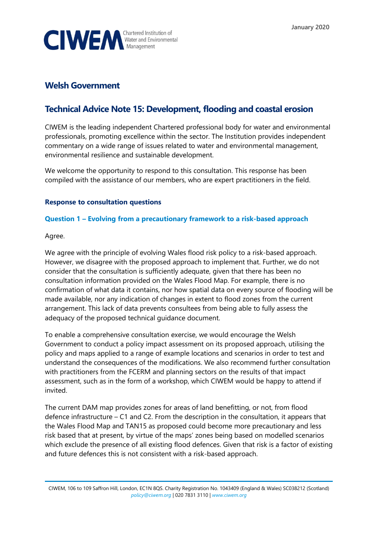

## **Welsh Government**

# **Technical Advice Note 15: Development, flooding and coastal erosion**

CIWEM is the leading independent Chartered professional body for water and environmental professionals, promoting excellence within the sector. The Institution provides independent commentary on a wide range of issues related to water and environmental management, environmental resilience and sustainable development.

We welcome the opportunity to respond to this consultation. This response has been compiled with the assistance of our members, who are expert practitioners in the field.

## **Response to consultation questions**

## **Question 1 – Evolving from a precautionary framework to a risk-based approach**

Agree.

We agree with the principle of evolving Wales flood risk policy to a risk-based approach. However, we disagree with the proposed approach to implement that. Further, we do not consider that the consultation is sufficiently adequate, given that there has been no consultation information provided on the Wales Flood Map. For example, there is no confirmation of what data it contains, nor how spatial data on every source of flooding will be made available, nor any indication of changes in extent to flood zones from the current arrangement. This lack of data prevents consultees from being able to fully assess the adequacy of the proposed technical guidance document.

To enable a comprehensive consultation exercise, we would encourage the Welsh Government to conduct a policy impact assessment on its proposed approach, utilising the policy and maps applied to a range of example locations and scenarios in order to test and understand the consequences of the modifications. We also recommend further consultation with practitioners from the FCERM and planning sectors on the results of that impact assessment, such as in the form of a workshop, which CIWEM would be happy to attend if invited.

The current DAM map provides zones for areas of land benefitting, or not, from flood defence infrastructure – C1 and C2. From the description in the consultation, it appears that the Wales Flood Map and TAN15 as proposed could become more precautionary and less risk based that at present, by virtue of the maps' zones being based on modelled scenarios which exclude the presence of all existing flood defences. Given that risk is a factor of existing and future defences this is not consistent with a risk-based approach.

CIWEM, 106 to 109 Saffron Hill, London, EC1N 8QS. Charity Registration No. 1043409 (England & Wales) SC038212 (Scotland) *[policy@ciwem.org](mailto:policy@ciwem.org)* | 020 7831 3110 | *[www.ciwem.org](http://www.ciwem.org/)*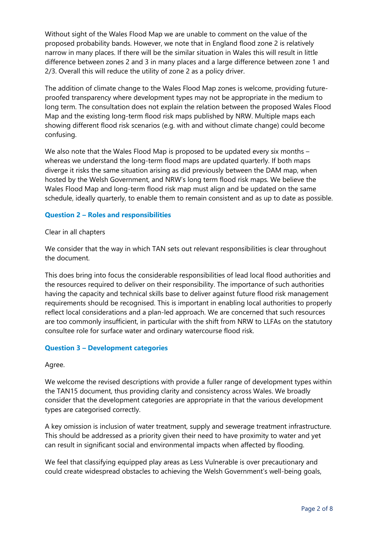Without sight of the Wales Flood Map we are unable to comment on the value of the proposed probability bands. However, we note that in England flood zone 2 is relatively narrow in many places. If there will be the similar situation in Wales this will result in little difference between zones 2 and 3 in many places and a large difference between zone 1 and 2/3. Overall this will reduce the utility of zone 2 as a policy driver.

The addition of climate change to the Wales Flood Map zones is welcome, providing futureproofed transparency where development types may not be appropriate in the medium to long term. The consultation does not explain the relation between the proposed Wales Flood Map and the existing long-term flood risk maps published by NRW. Multiple maps each showing different flood risk scenarios (e.g. with and without climate change) could become confusing.

We also note that the Wales Flood Map is proposed to be updated every six months – whereas we understand the long-term flood maps are updated quarterly. If both maps diverge it risks the same situation arising as did previously between the DAM map, when hosted by the Welsh Government, and NRW's long term flood risk maps. We believe the Wales Flood Map and long-term flood risk map must align and be updated on the same schedule, ideally quarterly, to enable them to remain consistent and as up to date as possible.

## **Question 2 – Roles and responsibilities**

#### Clear in all chapters

We consider that the way in which TAN sets out relevant responsibilities is clear throughout the document.

This does bring into focus the considerable responsibilities of lead local flood authorities and the resources required to deliver on their responsibility. The importance of such authorities having the capacity and technical skills base to deliver against future flood risk management requirements should be recognised. This is important in enabling local authorities to properly reflect local considerations and a plan-led approach. We are concerned that such resources are too commonly insufficient, in particular with the shift from NRW to LLFAs on the statutory consultee role for surface water and ordinary watercourse flood risk.

#### **Question 3 – Development categories**

#### Agree.

We welcome the revised descriptions with provide a fuller range of development types within the TAN15 document, thus providing clarity and consistency across Wales. We broadly consider that the development categories are appropriate in that the various development types are categorised correctly.

A key omission is inclusion of water treatment, supply and sewerage treatment infrastructure. This should be addressed as a priority given their need to have proximity to water and yet can result in significant social and environmental impacts when affected by flooding.

We feel that classifying equipped play areas as Less Vulnerable is over precautionary and could create widespread obstacles to achieving the Welsh Government's well-being goals,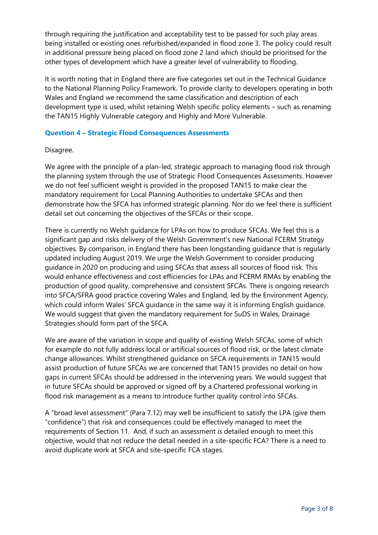through requiring the justification and acceptability test to be passed for such play areas being installed or existing ones refurbished/expanded in flood zone 3. The policy could result in additional pressure being placed on flood zone 2 land which should be prioritised for the other types of development which have a greater level of vulnerability to flooding.

It is worth noting that in England there are five categories set out in the Technical Guidance to the National Planning Policy Framework. To provide clarity to developers operating in both Wales and England we recommend the same classification and description of each development type is used, whilst retaining Welsh specific policy elements – such as renaming the TAN15 Highly Vulnerable category and Highly and More Vulnerable.

#### **Question 4 – Strategic Flood Consequences Assessments**

#### Disagree.

We agree with the principle of a plan-led, strategic approach to managing flood risk through the planning system through the use of Strategic Flood Consequences Assessments. However we do not feel sufficient weight is provided in the proposed TAN15 to make clear the mandatory requirement for Local Planning Authorities to undertake SFCAs and then demonstrate how the SFCA has informed strategic planning. Nor do we feel there is sufficient detail set out concerning the objectives of the SFCAs or their scope.

There is currently no Welsh guidance for LPAs on how to produce SFCAs. We feel this is a significant gap and risks delivery of the Welsh Government's new National FCERM Strategy objectives. By comparison, in England there has been longstanding guidance that is regularly updated including August 2019. We urge the Welsh Government to consider producing guidance in 2020 on producing and using SFCAs that assess all sources of flood risk. This would enhance effectiveness and cost efficiencies for LPAs and FCERM RMAs by enabling the production of good quality, comprehensive and consistent SFCAs. There is ongoing research into SFCA/SFRA good practice covering Wales and England, led by the Environment Agency, which could inform Wales' SFCA guidance in the same way it is informing English guidance. We would suggest that given the mandatory requirement for SuDS in Wales, Drainage Strategies should form part of the SFCA.

We are aware of the variation in scope and quality of existing Welsh SFCAs, some of which for example do not fully address local or artificial sources of flood risk, or the latest climate change allowances. Whilst strengthened guidance on SFCA requirements in TAN15 would assist production of future SFCAs we are concerned that TAN15 provides no detail on how gaps in current SFCAs should be addressed in the intervening years. We would suggest that in future SFCAs should be approved or signed off by a Chartered professional working in flood risk management as a means to introduce further quality control into SFCAs.

A "broad level assessment" (Para 7.12) may well be insufficient to satisfy the LPA (give them "confidence") that risk and consequences could be effectively managed to meet the requirements of Section 11. And, if such an assessment *is* detailed enough to meet this objective, would that not reduce the detail needed in a site-specific FCA? There is a need to avoid duplicate work at SFCA and site-specific FCA stages.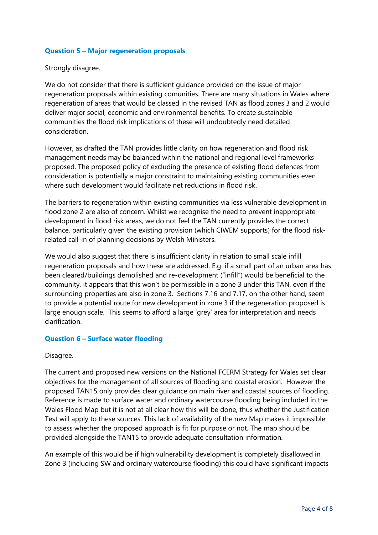#### **Question 5 – Major regeneration proposals**

#### Strongly disagree.

We do not consider that there is sufficient guidance provided on the issue of major regeneration proposals within existing comunities. There are many situations in Wales where regeneration of areas that would be classed in the revised TAN as flood zones 3 and 2 would deliver major social, economic and environmental benefits. To create sustainable communities the flood risk implications of these will undoubtedly need detailed consideration.

However, as drafted the TAN provides little clarity on how regeneration and flood risk management needs may be balanced within the national and regional level frameworks proposed. The proposed policy of excluding the presence of existing flood defences from consideration is potentially a major constraint to maintaining existing communities even where such development would facilitate net reductions in flood risk.

The barriers to regeneration within existing communities via less vulnerable development in flood zone 2 are also of concern. Whilst we recognise the need to prevent inappropriate development in flood risk areas, we do not feel the TAN currently provides the correct balance, particularly given the existing provision (which CIWEM supports) for the flood riskrelated call-in of planning decisions by Welsh Ministers.

We would also suggest that there is insufficient clarity in relation to small scale infill regeneration proposals and how these are addressed. E.g. if a small part of an urban area has been cleared/buildings demolished and re-development ("infill") would be beneficial to the community, it appears that this won't be permissible in a zone 3 under this TAN, even if the surrounding properties are also in zone 3. Sections 7.16 and 7.17, on the other hand, seem to provide a potential route for new development in zone 3 if the regeneration proposed is large enough scale. This seems to afford a large 'grey' area for interpretation and needs clarification.

## **Question 6 – Surface water flooding**

#### Disagree.

The current and proposed new versions on the National FCERM Strategy for Wales set clear objectives for the management of all sources of flooding and coastal erosion. However the proposed TAN15 only provides clear guidance on main river and coastal sources of flooding. Reference is made to surface water and ordinary watercourse flooding being included in the Wales Flood Map but it is not at all clear how this will be done, thus whether the Justification Test will apply to these sources. This lack of availability of the new Map makes it impossible to assess whether the proposed approach is fit for purpose or not. The map should be provided alongside the TAN15 to provide adequate consultation information.

An example of this would be if high vulnerability development is completely disallowed in Zone 3 (including SW and ordinary watercourse flooding) this could have significant impacts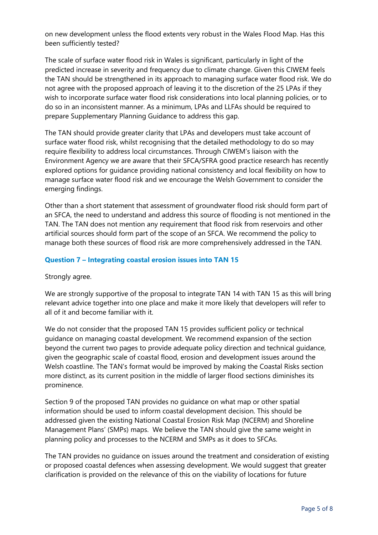on new development unless the flood extents very robust in the Wales Flood Map. Has this been sufficiently tested?

The scale of surface water flood risk in Wales is significant, particularly in light of the predicted increase in severity and frequency due to climate change. Given this CIWEM feels the TAN should be strengthened in its approach to managing surface water flood risk. We do not agree with the proposed approach of leaving it to the discretion of the 25 LPAs if they wish to incorporate surface water flood risk considerations into local planning policies, or to do so in an inconsistent manner. As a minimum, LPAs and LLFAs should be required to prepare Supplementary Planning Guidance to address this gap.

The TAN should provide greater clarity that LPAs and developers must take account of surface water flood risk, whilst recognising that the detailed methodology to do so may require flexibility to address local circumstances. Through CIWEM's liaison with the Environment Agency we are aware that their SFCA/SFRA good practice research has recently explored options for guidance providing national consistency and local flexibility on how to manage surface water flood risk and we encourage the Welsh Government to consider the emerging findings.

Other than a short statement that assessment of groundwater flood risk should form part of an SFCA, the need to understand and address this source of flooding is not mentioned in the TAN. The TAN does not mention any requirement that flood risk from reservoirs and other artificial sources should form part of the scope of an SFCA. We recommend the policy to manage both these sources of flood risk are more comprehensively addressed in the TAN.

#### **Question 7 – Integrating coastal erosion issues into TAN 15**

#### Strongly agree.

We are strongly supportive of the proposal to integrate TAN 14 with TAN 15 as this will bring relevant advice together into one place and make it more likely that developers will refer to all of it and become familiar with it.

We do not consider that the proposed TAN 15 provides sufficient policy or technical guidance on managing coastal development. We recommend expansion of the section beyond the current two pages to provide adequate policy direction and technical guidance, given the geographic scale of coastal flood, erosion and development issues around the Welsh coastline. The TAN's format would be improved by making the Coastal Risks section more distinct, as its current position in the middle of larger flood sections diminishes its prominence.

Section 9 of the proposed TAN provides no guidance on what map or other spatial information should be used to inform coastal development decision. This should be addressed given the existing National Coastal Erosion Risk Map (NCERM) and Shoreline Management Plans' (SMPs) maps. We believe the TAN should give the same weight in planning policy and processes to the NCERM and SMPs as it does to SFCAs.

The TAN provides no guidance on issues around the treatment and consideration of existing or proposed coastal defences when assessing development. We would suggest that greater clarification is provided on the relevance of this on the viability of locations for future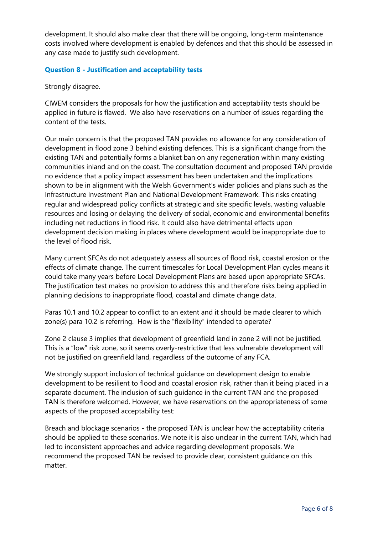development. It should also make clear that there will be ongoing, long-term maintenance costs involved where development is enabled by defences and that this should be assessed in any case made to justify such development.

## **Question 8 - Justification and acceptability tests**

Strongly disagree.

CIWEM considers the proposals for how the justification and acceptability tests should be applied in future is flawed. We also have reservations on a number of issues regarding the content of the tests.

Our main concern is that the proposed TAN provides no allowance for any consideration of development in flood zone 3 behind existing defences. This is a significant change from the existing TAN and potentially forms a blanket ban on any regeneration within many existing communities inland and on the coast. The consultation document and proposed TAN provide no evidence that a policy impact assessment has been undertaken and the implications shown to be in alignment with the Welsh Government's wider policies and plans such as the Infrastructure Investment Plan and National Development Framework. This risks creating regular and widespread policy conflicts at strategic and site specific levels, wasting valuable resources and losing or delaying the delivery of social, economic and environmental benefits including net reductions in flood risk. It could also have detrimental effects upon development decision making in places where development would be inappropriate due to the level of flood risk.

Many current SFCAs do not adequately assess all sources of flood risk, coastal erosion or the effects of climate change. The current timescales for Local Development Plan cycles means it could take many years before Local Development Plans are based upon appropriate SFCAs. The justification test makes no provision to address this and therefore risks being applied in planning decisions to inappropriate flood, coastal and climate change data.

Paras 10.1 and 10.2 appear to conflict to an extent and it should be made clearer to which zone(s) para 10.2 is referring. How is the "flexibility" intended to operate?

Zone 2 clause 3 implies that development of greenfield land in zone 2 will not be justified. This is a "low" risk zone, so it seems overly-restrictive that less vulnerable development will not be justified on greenfield land, regardless of the outcome of any FCA.

We strongly support inclusion of technical guidance on development design to enable development to be resilient to flood and coastal erosion risk, rather than it being placed in a separate document. The inclusion of such guidance in the current TAN and the proposed TAN is therefore welcomed. However, we have reservations on the appropriateness of some aspects of the proposed acceptability test:

Breach and blockage scenarios - the proposed TAN is unclear how the acceptability criteria should be applied to these scenarios. We note it is also unclear in the current TAN, which had led to inconsistent approaches and advice regarding development proposals. We recommend the proposed TAN be revised to provide clear, consistent guidance on this matter.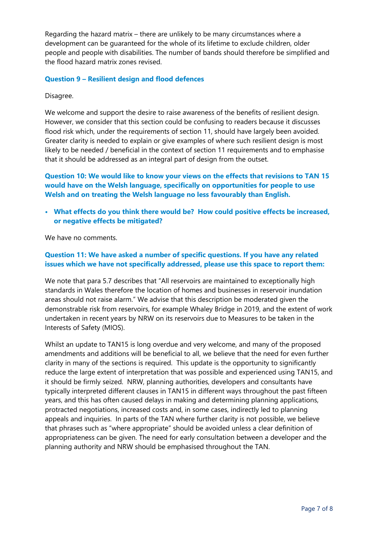Regarding the hazard matrix – there are unlikely to be many circumstances where a development can be guaranteed for the whole of its lifetime to exclude children, older people and people with disabilities. The number of bands should therefore be simplified and the flood hazard matrix zones revised.

### **Question 9 – Resilient design and flood defences**

Disagree.

We welcome and support the desire to raise awareness of the benefits of resilient design. However, we consider that this section could be confusing to readers because it discusses flood risk which, under the requirements of section 11, should have largely been avoided. Greater clarity is needed to explain or give examples of where such resilient design is most likely to be needed / beneficial in the context of section 11 requirements and to emphasise that it should be addressed as an integral part of design from the outset.

**Question 10: We would like to know your views on the effects that revisions to TAN 15 would have on the Welsh language, specifically on opportunities for people to use Welsh and on treating the Welsh language no less favourably than English.** 

**• What effects do you think there would be? How could positive effects be increased, or negative effects be mitigated?**

We have no comments.

## **Question 11: We have asked a number of specific questions. If you have any related issues which we have not specifically addressed, please use this space to report them:**

We note that para 5.7 describes that "All reservoirs are maintained to exceptionally high standards in Wales therefore the location of homes and businesses in reservoir inundation areas should not raise alarm." We advise that this description be moderated given the demonstrable risk from reservoirs, for example Whaley Bridge in 2019, and the extent of work undertaken in recent years by NRW on its reservoirs due to Measures to be taken in the Interests of Safety (MIOS).

Whilst an update to TAN15 is long overdue and very welcome, and many of the proposed amendments and additions will be beneficial to all, we believe that the need for even further clarity in many of the sections is required. This update is the opportunity to significantly reduce the large extent of interpretation that was possible and experienced using TAN15, and it should be firmly seized. NRW, planning authorities, developers and consultants have typically interpreted different clauses in TAN15 in different ways throughout the past fifteen years, and this has often caused delays in making and determining planning applications, protracted negotiations, increased costs and, in some cases, indirectly led to planning appeals and inquiries. In parts of the TAN where further clarity is not possible, we believe that phrases such as "where appropriate" should be avoided unless a clear definition of appropriateness can be given. The need for early consultation between a developer and the planning authority and NRW should be emphasised throughout the TAN.